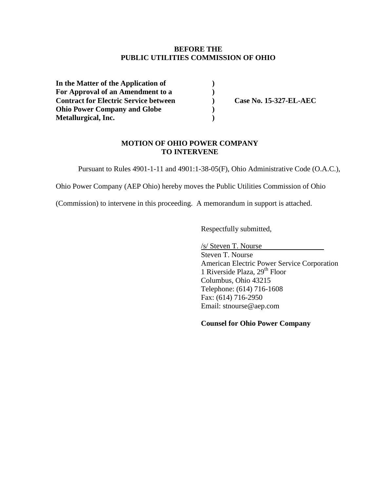# **BEFORE THE PUBLIC UTILITIES COMMISSION OF OHIO**

**In the Matter of the Application of ) For Approval of an Amendment to a ) Contract for Electric Service between ) Case No. 15-327-EL-AEC Ohio Power Company and Globe ) Metallurgical, Inc. )**

### **MOTION OF OHIO POWER COMPANY TO INTERVENE**

Pursuant to Rules 4901-1-11 and 4901:1-38-05(F), Ohio Administrative Code (O.A.C.),

Ohio Power Company (AEP Ohio) hereby moves the Public Utilities Commission of Ohio

(Commission) to intervene in this proceeding. A memorandum in support is attached.

Respectfully submitted,

/s/ Steven T. Nourse

Steven T. Nourse American Electric Power Service Corporation 1 Riverside Plaza, 29<sup>th</sup> Floor Columbus, Ohio 43215 Telephone: (614) 716-1608 Fax: (614) 716-2950 Email: stnourse@aep.com

**Counsel for Ohio Power Company**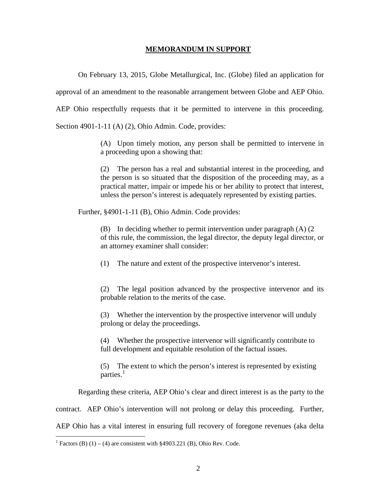#### **MEMORANDUM IN SUPPORT**

On February 13, 2015, Globe Metallurgical, Inc. (Globe) filed an application for

approval of an amendment to the reasonable arrangement between Globe and AEP Ohio.

AEP Ohio respectfully requests that it be permitted to intervene in this proceeding.

Section 4901-1-11 (A) (2), Ohio Admin. Code, provides:

(A) Upon timely motion, any person shall be permitted to intervene in a proceeding upon a showing that:

(2) The person has a real and substantial interest in the proceeding, and the person is so situated that the disposition of the proceeding may, as a practical matter, impair or impede his or her ability to protect that interest, unless the person's interest is adequately represented by existing parties.

Further, §4901-1-11 (B), Ohio Admin. Code provides:

(B) In deciding whether to permit intervention under paragraph (A) (2 of this rule, the commission, the legal director, the deputy legal director, or an attorney examiner shall consider:

(1) The nature and extent of the prospective intervenor's interest.

(2) The legal position advanced by the prospective intervenor and its probable relation to the merits of the case.

(3) Whether the intervention by the prospective intervenor will unduly prolong or delay the proceedings.

(4) Whether the prospective intervenor will significantly contribute to full development and equitable resolution of the factual issues.

(5) The extent to which the person's interest is represented by existing parties. $<sup>1</sup>$  $<sup>1</sup>$  $<sup>1</sup>$ </sup>

Regarding these criteria, AEP Ohio's clear and direct interest is as the party to the

contract. AEP Ohio's intervention will not prolong or delay this proceeding. Further,

AEP Ohio has a vital interest in ensuring full recovery of foregone revenues (aka delta

<span id="page-1-0"></span><sup>&</sup>lt;sup>1</sup> Factors (B) (1) – (4) are consistent with §4903.221 (B), Ohio Rev. Code.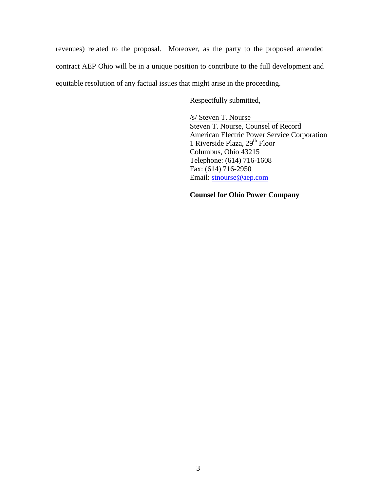revenues) related to the proposal. Moreover, as the party to the proposed amended contract AEP Ohio will be in a unique position to contribute to the full development and equitable resolution of any factual issues that might arise in the proceeding.

Respectfully submitted,

/s/ Steven T. Nourse Steven T. Nourse, Counsel of Record American Electric Power Service Corporation 1 Riverside Plaza, 29<sup>th</sup> Floor Columbus, Ohio 43215 Telephone: (614) 716-1608 Fax: (614) 716-2950 Email: [stnourse@aep.com](mailto:stnourse@aep.com)

# **Counsel for Ohio Power Company**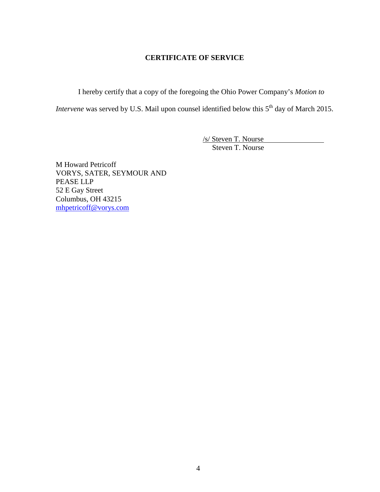# **CERTIFICATE OF SERVICE**

I hereby certify that a copy of the foregoing the Ohio Power Company's *Motion to* 

*Intervene* was served by U.S. Mail upon counsel identified below this 5<sup>th</sup> day of March 2015.

/s/ Steven T. Nourse Steven T. Nourse

M Howard Petricoff VORYS, SATER, SEYMOUR AND PEASE LLP 52 E Gay Street Columbus, OH 43215 [mhpetricoff@vorys.com](mailto:mhpetricoff@vorys.com)